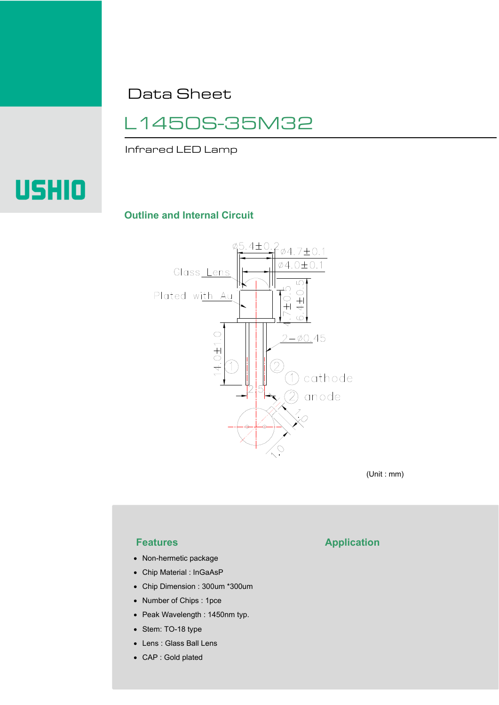Data Sheet

# L1450S-35M32

Infrared LED Lamp



## **Outline and Internal Circuit**



(Unit : mm)

- Non-hermetic package
- Chip Material : InGaAsP
- Chip Dimension : 300um \*300um
- Number of Chips : 1pce
- Peak Wavelength : 1450nm typ.
- Stem: TO-18 type
- Lens : Glass Ball Lens
- CAP : Gold plated

# **Features Application**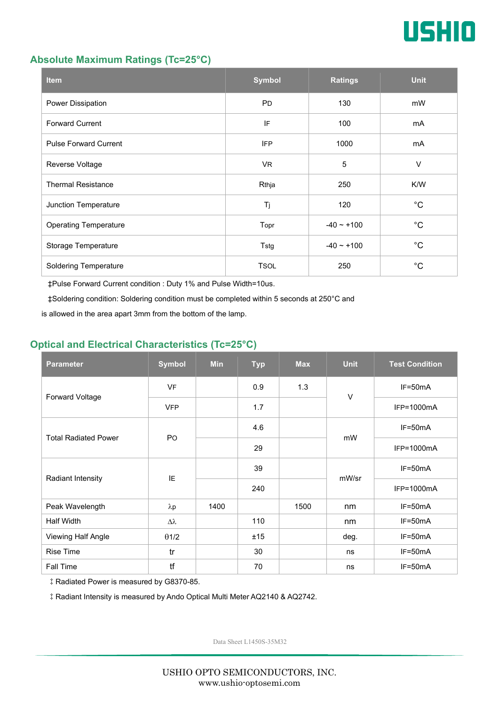

## **Absolute Maximum Ratings (Tc=25°C)**

| <b>Item</b>                  | <b>Symbol</b> | <b>Ratings</b>  | <b>Unit</b> |
|------------------------------|---------------|-----------------|-------------|
| Power Dissipation            | <b>PD</b>     | 130             | mW          |
| <b>Forward Current</b>       | IF            | 100             | mA          |
| <b>Pulse Forward Current</b> | <b>IFP</b>    | 1000            | mA          |
| Reverse Voltage              | VR.           | $\sqrt{5}$      | $\vee$      |
| <b>Thermal Resistance</b>    | Rthja         | 250             | K/W         |
| Junction Temperature         | Tj            | 120             | $^{\circ}C$ |
| <b>Operating Temperature</b> | Topr          | $-40 \sim +100$ | $^{\circ}C$ |
| Storage Temperature          | Tstg          | $-40 - +100$    | $^{\circ}C$ |
| <b>Soldering Temperature</b> | <b>TSOL</b>   | 250             | $^{\circ}C$ |

‡Pulse Forward Current condition : Duty 1% and Pulse Width=10us.

‡Soldering condition: Soldering condition must be completed within 5 seconds at 250°C and

is allowed in the area apart 3mm from the bottom of the lamp.

## **Optical and Electrical Characteristics (Tc=25°C)**

| <b>Parameter</b>            | <b>Symbol</b>    | <b>Min</b> | <b>Typ</b> | <b>Max</b> | <b>Unit</b> | <b>Test Condition</b> |
|-----------------------------|------------------|------------|------------|------------|-------------|-----------------------|
| Forward Voltage             | <b>VF</b>        |            | 0.9        | 1.3        | $\vee$      | $IF=50mA$             |
|                             | <b>VFP</b>       |            | 1.7        |            |             | IFP=1000mA            |
| <b>Total Radiated Power</b> | PO               |            | 4.6        |            | mW          | $IF=50mA$             |
|                             |                  |            | 29         |            |             | IFP=1000mA            |
| Radiant Intensity           | IE               |            | 39         |            | mW/sr       | $IF=50mA$             |
|                             |                  |            | 240        |            |             | IFP=1000mA            |
| Peak Wavelength             | $\lambda p$      | 1400       |            | 1500       | nm          | IF=50mA               |
| <b>Half Width</b>           | $\Delta \lambda$ |            | 110        |            | nm          | $IF=50mA$             |
| Viewing Half Angle          | $\theta$ 1/2     |            | ±15        |            | deg.        | $IF=50mA$             |
| <b>Rise Time</b>            | tr               |            | 30         |            | ns          | $IF=50mA$             |
| Fall Time                   | tf               |            | 70         |            | ns          | $IF=50mA$             |

‡Radiated Power is measured by G8370-85.

‡Radiant Intensity is measured by Ando Optical Multi Meter AQ2140 & AQ2742.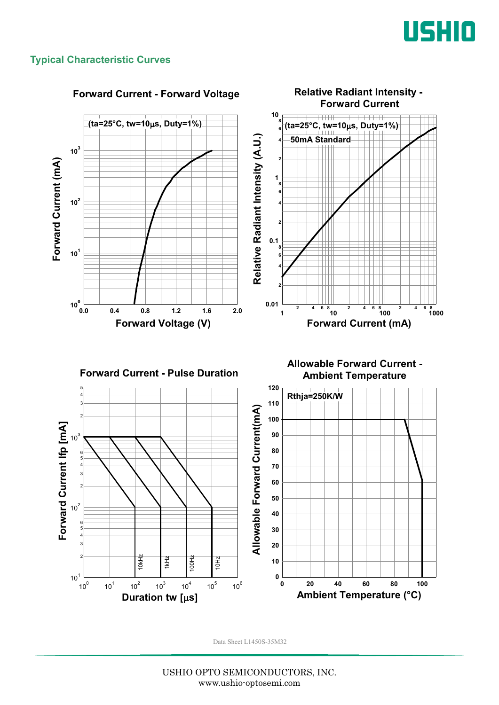

## **Typical Characteristic Curves**



#### **Forward Current - Forward Voltage**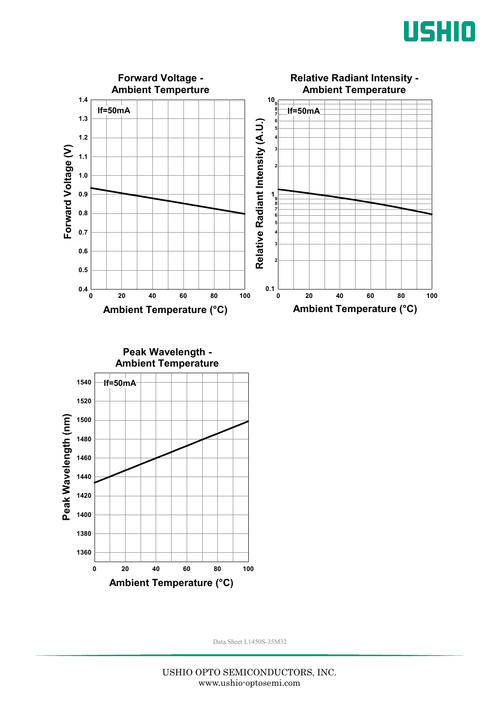





USHIO OPTO SEMICONDUCTORS, INC. www.ushio-optosemi.com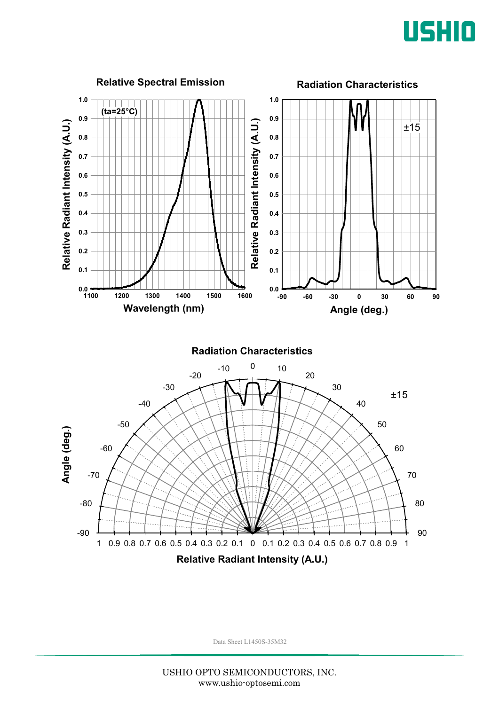